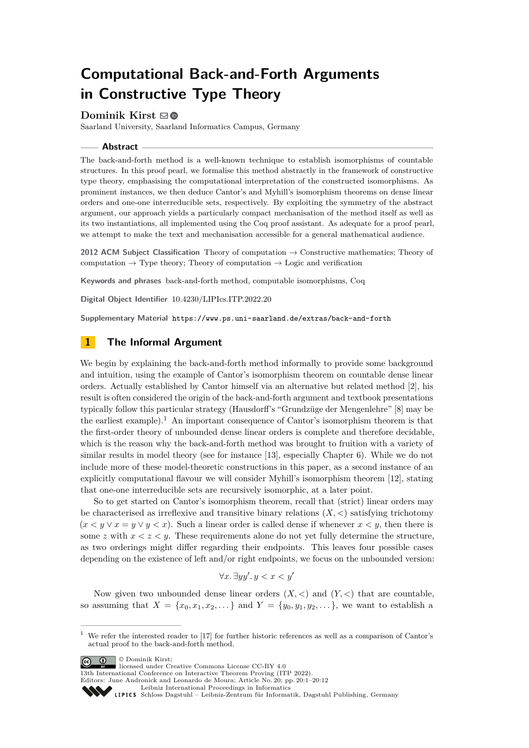# **Computational Back-and-Forth Arguments in Constructive Type Theory**

# **Dominik Kirst** [!](mailto:kirst@cs.uni-saarland.de)

Saarland University, Saarland Informatics Campus, Germany

## **Abstract**

The back-and-forth method is a well-known technique to establish isomorphisms of countable structures. In this proof pearl, we formalise this method abstractly in the framework of constructive type theory, emphasising the computational interpretation of the constructed isomorphisms. As prominent instances, we then deduce Cantor's and Myhill's isomorphism theorems on dense linear orders and one-one interreducible sets, respectively. By exploiting the symmetry of the abstract argument, our approach yields a particularly compact mechanisation of the method itself as well as its two instantiations, all implemented using the Coq proof assistant. As adequate for a proof pearl, we attempt to make the text and mechanisation accessible for a general mathematical audience.

**2012 ACM Subject Classification** Theory of computation → Constructive mathematics; Theory of computation  $\rightarrow$  Type theory; Theory of computation  $\rightarrow$  Logic and verification

**Keywords and phrases** back-and-forth method, computable isomorphisms, Coq

**Digital Object Identifier** [10.4230/LIPIcs.ITP.2022.20](https://doi.org/10.4230/LIPIcs.ITP.2022.20)

**Supplementary Material** <https://www.ps.uni-saarland.de/extras/back-and-forth>

# <span id="page-0-1"></span>**1 The Informal Argument**

We begin by explaining the back-and-forth method informally to provide some background and intuition, using the example of Cantor's isomorphism theorem on countable dense linear orders. Actually established by Cantor himself via an alternative but related method [\[2\]](#page-10-0), his result is often considered the origin of the back-and-forth argument and textbook presentations typically follow this particular strategy (Hausdorff's "Grundzüge der Mengenlehre" [\[8\]](#page-11-0) may be the earliest example).<sup>[1](#page-0-0)</sup> An important consequence of Cantor's isomorphism theorem is that the first-order theory of unbounded dense linear orders is complete and therefore decidable, which is the reason why the back-and-forth method was brought to fruition with a variety of similar results in model theory (see for instance [\[13\]](#page-11-1), especially Chapter 6). While we do not include more of these model-theoretic constructions in this paper, as a second instance of an explicitly computational flavour we will consider Myhill's isomorphism theorem [\[12\]](#page-11-2), stating that one-one interreducible sets are recursively isomorphic, at a later point.

So to get started on Cantor's isomorphism theorem, recall that (strict) linear orders may be characterised as irreflexive and transitive binary relations  $(X, \leq)$  satisfying trichotomy  $(x < y \lor x = y \lor y < x)$ . Such a linear order is called dense if whenever  $x < y$ , then there is some *z* with  $x < z < y$ . These requirements alone do not yet fully determine the structure, as two orderings might differ regarding their endpoints. This leaves four possible cases depending on the existence of left and/or right endpoints, we focus on the unbounded version:

$$
\forall x. \ \exists y y'. \ y < x < y'
$$

Now given two unbounded dense linear orders  $(X, \leq)$  and  $(Y, \leq)$  that are countable, so assuming that  $X = \{x_0, x_1, x_2, \ldots\}$  and  $Y = \{y_0, y_1, y_2, \ldots\}$ , we want to establish a

© Dominik Kirst;

licensed under Creative Commons License CC-BY 4.0

13th International Conference on Interactive Theorem Proving (ITP 2022). Editors: June Andronick and Leonardo de Moura; Article No. 20; pp. 20:1–20:12



[Leibniz International Proceedings in Informatics](https://www.dagstuhl.de/lipics/)

<span id="page-0-0"></span><sup>1</sup> We refer the interested reader to [\[17\]](#page-11-3) for further historic references as well as a comparison of Cantor's actual proof to the back-and-forth method.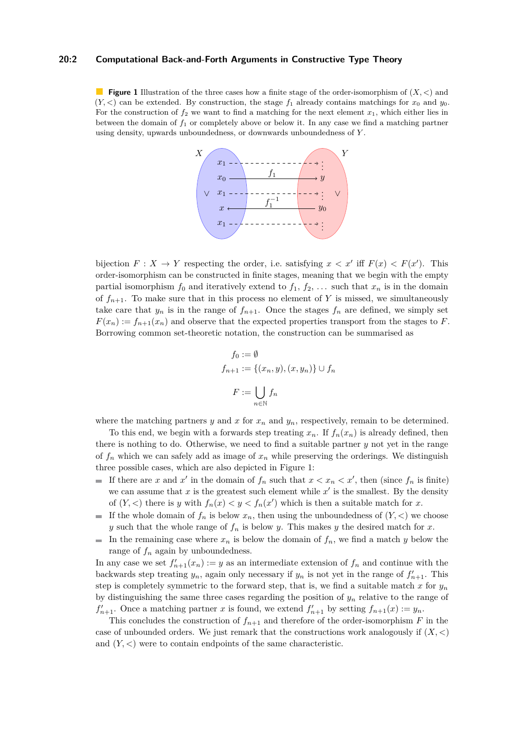## **20:2 Computational Back-and-Forth Arguments in Constructive Type Theory**

<span id="page-1-0"></span>**Figure 1** Illustration of the three cases how a finite stage of the order-isomorphism of (*X, <*) and  $(Y, \leq)$  can be extended. By construction, the stage  $f_1$  already contains matchings for  $x_0$  and  $y_0$ . For the construction of  $f_2$  we want to find a matching for the next element  $x_1$ , which either lies in between the domain of *f*<sup>1</sup> or completely above or below it. In any case we find a matching partner using density, upwards unboundedness, or downwards unboundedness of *Y* .



bijection  $F: X \to Y$  respecting the order, i.e. satisfying  $x < x'$  iff  $F(x) < F(x')$ . This order-isomorphism can be constructed in finite stages, meaning that we begin with the empty partial isomorphism  $f_0$  and iteratively extend to  $f_1, f_2, \ldots$  such that  $x_n$  is in the domain of  $f_{n+1}$ . To make sure that in this process no element of Y is missed, we simultaneously take care that  $y_n$  is in the range of  $f_{n+1}$ . Once the stages  $f_n$  are defined, we simply set  $F(x_n) := f_{n+1}(x_n)$  and observe that the expected properties transport from the stages to *F*. Borrowing common set-theoretic notation, the construction can be summarised as

$$
f_0 := \emptyset
$$
  

$$
f_{n+1} := \{(x_n, y), (x, y_n)\} \cup f_n
$$
  

$$
F := \bigcup_{n \in \mathbb{N}} f_n
$$

where the matching partners *y* and *x* for  $x_n$  and  $y_n$ , respectively, remain to be determined.

To this end, we begin with a forwards step treating  $x_n$ . If  $f_n(x_n)$  is already defined, then there is nothing to do. Otherwise, we need to find a suitable partner *y* not yet in the range of  $f_n$  which we can safely add as image of  $x_n$  while preserving the orderings. We distinguish three possible cases, which are also depicted in Figure [1:](#page-1-0)

- If there are *x* and *x*<sup>'</sup> in the domain of  $f_n$  such that  $x < x_n < x'$ , then (since  $f_n$  is finite) we can assume that  $x$  is the greatest such element while  $x'$  is the smallest. By the density of  $(Y, \leq)$  there is *y* with  $f_n(x) \leq y \leq f_n(x')$  which is then a suitable match for *x*.
- If the whole domain of  $f_n$  is below  $x_n$ , then using the unboundedness of  $(Y, \leq)$  we choose *y* such that the whole range of  $f_n$  is below *y*. This makes *y* the desired match for *x*.
- In the remaining case where  $x_n$  is below the domain of  $f_n$ , we find a match *y* below the range of *f<sup>n</sup>* again by unboundedness.

In any case we set  $f'_{n+1}(x_n) := y$  as an intermediate extension of  $f_n$  and continue with the backwards step treating  $y_n$ , again only necessary if  $y_n$  is not yet in the range of  $f'_{n+1}$ . This step is completely symmetric to the forward step, that is, we find a suitable match  $x$  for  $y_n$ by distinguishing the same three cases regarding the position of  $y_n$  relative to the range of  $f'_{n+1}$ . Once a matching partner *x* is found, we extend  $f'_{n+1}$  by setting  $f_{n+1}(x) := y_n$ .

This concludes the construction of  $f_{n+1}$  and therefore of the order-isomorphism  $F$  in the case of unbounded orders. We just remark that the constructions work analogously if  $(X, \leq)$ and (*Y, <*) were to contain endpoints of the same characteristic.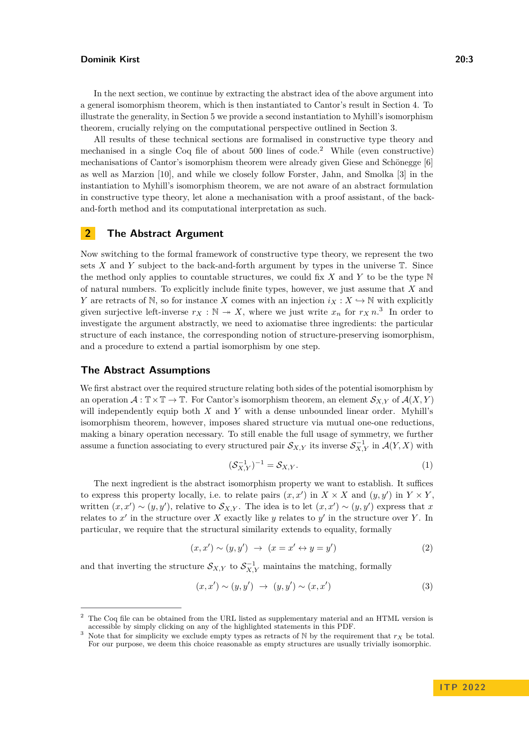In the next section, we continue by extracting the abstract idea of the above argument into a general isomorphism theorem, which is then instantiated to Cantor's result in Section [4.](#page-6-0) To illustrate the generality, in Section [5](#page-7-0) we provide a second instantiation to Myhill's isomorphism theorem, crucially relying on the computational perspective outlined in Section [3.](#page-5-0)

All results of these technical sections are formalised in constructive type theory and mechanised in a single Coq file of about  $500$  lines of code.<sup>[2](#page-2-0)</sup> While (even constructive) mechanisations of Cantor's isomorphism theorem were already given Giese and Schönegge [\[6\]](#page-11-4) as well as Marzion [\[10\]](#page-11-5), and while we closely follow Forster, Jahn, and Smolka [\[3\]](#page-10-1) in the instantiation to Myhill's isomorphism theorem, we are not aware of an abstract formulation in constructive type theory, let alone a mechanisation with a proof assistant, of the backand-forth method and its computational interpretation as such.

# <span id="page-2-5"></span>**2 The Abstract Argument**

Now switching to the formal framework of constructive type theory, we represent the two sets  $X$  and  $Y$  subject to the back-and-forth argument by types in the universe  $T$ . Since the method only applies to countable structures, we could fix *X* and *Y* to be the type N of natural numbers. To explicitly include finite types, however, we just assume that *X* and *Y* are retracts of N, so for instance *X* comes with an injection  $i_X : X \hookrightarrow \mathbb{N}$  with explicitly given surjective left-inverse  $r_X : \mathbb{N} \to X$ , where we just write  $x_n$  for  $r_X n$ .<sup>[3](#page-2-1)</sup> In order to investigate the argument abstractly, we need to axiomatise three ingredients: the particular structure of each instance, the corresponding notion of structure-preserving isomorphism, and a procedure to extend a partial isomorphism by one step.

## **The Abstract Assumptions**

We first abstract over the required structure relating both sides of the potential isomorphism by an operation  $\mathcal{A}: \mathbb{T} \times \mathbb{T} \to \mathbb{T}$ . For Cantor's isomorphism theorem, an element  $\mathcal{S}_{X,Y}$  of  $\mathcal{A}(X,Y)$ will independently equip both *X* and *Y* with a dense unbounded linear order. Myhill's isomorphism theorem, however, imposes shared structure via mutual one-one reductions, making a binary operation necessary. To still enable the full usage of symmetry, we further assume a function associating to every structured pair  $\mathcal{S}_{X,Y}$  its inverse  $\mathcal{S}_{X,Y}^{-1}$  in  $\mathcal{A}(Y,X)$  with

<span id="page-2-4"></span><span id="page-2-3"></span><span id="page-2-2"></span>
$$
(\mathcal{S}_{X,Y}^{-1})^{-1} = \mathcal{S}_{X,Y}.
$$
 (1)

The next ingredient is the abstract isomorphism property we want to establish. It suffices to express this property locally, i.e. to relate pairs  $(x, x')$  in  $X \times X$  and  $(y, y')$  in  $Y \times Y$ , written  $(x, x') \sim (y, y')$ , relative to  $\mathcal{S}_{X,Y}$ . The idea is to let  $(x, x') \sim (y, y')$  express that *x* relates to  $x'$  in the structure over  $X$  exactly like  $y$  relates to  $y'$  in the structure over  $Y$ . In particular, we require that the structural similarity extends to equality, formally

$$
(x, x') \sim (y, y') \rightarrow (x = x' \leftrightarrow y = y')
$$
 (2)

and that inverting the structure  $S_{X,Y}$  to  $S_{X,Y}^{-1}$  maintains the matching, formally

$$
(x, x') \sim (y, y') \rightarrow (y, y') \sim (x, x') \tag{3}
$$

<span id="page-2-0"></span><sup>&</sup>lt;sup>2</sup> The Coq file can be obtained from the URL listed as supplementary material and an HTML version is accessible by simply clicking on any of the highlighted statements in this PDF.

<span id="page-2-1"></span><sup>&</sup>lt;sup>3</sup> Note that for simplicity we exclude empty types as retracts of N by the requirement that  $r_X$  be total. For our purpose, we deem this choice reasonable as empty structures are usually trivially isomorphic.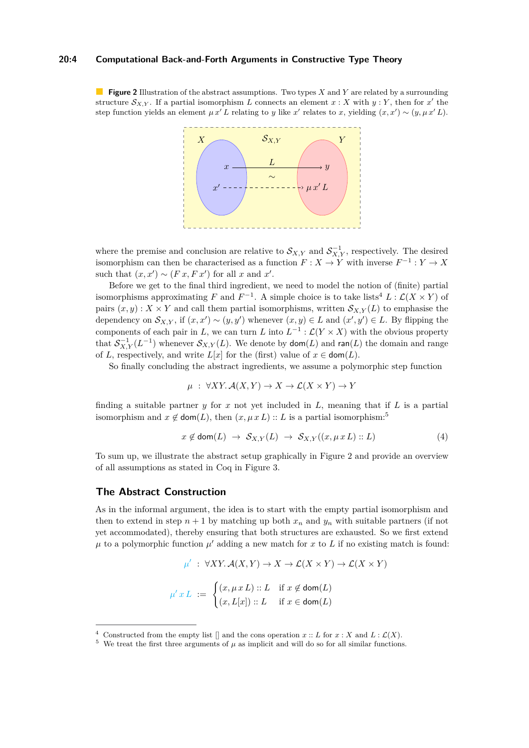## **20:4 Computational Back-and-Forth Arguments in Constructive Type Theory**

<span id="page-3-2"></span>**Figure 2** Illustration of the abstract assumptions. Two types *X* and *Y* are related by a surrounding structure  $\mathcal{S}_{X,Y}$ . If a partial isomorphism *L* connects an element  $x : X$  with  $y : Y$ , then for  $x'$  the step function yields an element  $\mu x' L$  relating to *y* like *x'* relates to *x*, yielding  $(x, x') \sim (y, \mu x' L)$ .



where the premise and conclusion are relative to  $\mathcal{S}_{X,Y}$  and  $\mathcal{S}_{X,Y}^{-1}$ , respectively. The desired isomorphism can then be characterised as a function  $F: X \to Y$  with inverse  $F^{-1}: Y \to X$ such that  $(x, x') \sim (F x, F x')$  for all *x* and *x'*.

Before we get to the final third ingredient, we need to model the notion of (finite) partial isomorphisms approximating *F* and  $F^{-1}$ . A simple choice is to take lists<sup>[4](#page-3-0)</sup>  $L : \mathcal{L}(X \times Y)$  of pairs  $(x, y)$ :  $X \times Y$  and call them partial isomorphisms, written  $S_{X,Y}(L)$  to emphasise the dependency on  $\mathcal{S}_{X,Y}$ , if  $(x, x') \sim (y, y')$  whenever  $(x, y) \in L$  and  $(x', y') \in L$ . By flipping the components of each pair in *L*, we can turn *L* into  $L^{-1}$  :  $\mathcal{L}(Y \times X)$  with the obvious property that  $S_{X,Y}^{-1}(L^{-1})$  whenever  $S_{X,Y}(L)$ . We denote by  $\mathsf{dom}(L)$  and  $\mathsf{ran}(L)$  the domain and range of *L*, respectively, and write *L*[*x*] for the (first) value of  $x \in \text{dom}(L)$ .

So finally concluding the abstract ingredients, we assume a polymorphic step function

$$
\mu : \forall XY. \mathcal{A}(X, Y) \to X \to \mathcal{L}(X \times Y) \to Y
$$

finding a suitable partner  $y$  for  $x$  not yet included in  $L$ , meaning that if  $L$  is a partial isomorphism and  $x \notin \text{dom}(L)$ , then  $(x, \mu x L) :: L$  is a partial isomorphism:<sup>[5](#page-3-1)</sup>

<span id="page-3-3"></span>
$$
x \notin \text{dom}(L) \rightarrow S_{X,Y}(L) \rightarrow S_{X,Y}((x,\mu x L) :: L) \tag{4}
$$

To sum up, we illustrate the abstract setup graphically in Figure [2](#page-3-2) and provide an overview of all assumptions as stated in Coq in Figure [3.](#page-4-0)

# **The Abstract Construction**

As in the informal argument, the idea is to start with the empty partial isomorphism and then to extend in step  $n + 1$  by matching up both  $x_n$  and  $y_n$  with suitable partners (if not yet accommodated), thereby ensuring that both structures are exhausted. So we first extend  $\mu$  to a polymorphic function  $\mu'$  adding a new match for  $x$  to  $L$  if no existing match is found:

$$
\mu' : \forall XY. \mathcal{A}(X, Y) \to X \to \mathcal{L}(X \times Y) \to \mathcal{L}(X \times Y)
$$

$$
\mu' x L := \begin{cases} (x, \mu x L) :: L & \text{if } x \notin \text{dom}(L) \\ (x, L[x]) :: L & \text{if } x \in \text{dom}(L) \end{cases}
$$

<span id="page-3-0"></span><sup>&</sup>lt;sup>4</sup> Constructed from the empty list  $\lceil \rceil$  and the cons operation  $x :: L$  for  $x : X$  and  $L : \mathcal{L}(X)$ .

<span id="page-3-1"></span> $5$  We treat the first three arguments of  $\mu$  as implicit and will do so for all similar functions.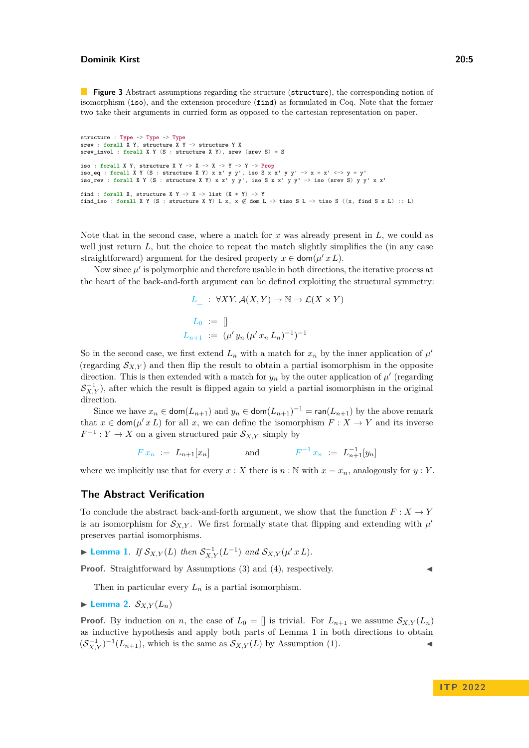<span id="page-4-0"></span>**Figure 3** Abstract assumptions regarding the structure (structure), the corresponding notion of isomorphism (iso), and the extension procedure (find) as formulated in Coq. Note that the former two take their arguments in curried form as opposed to the cartesian representation on paper.

```
structure : Type -> Type -> Type
srev : forall X Y, structure X Y -> structure Y X
srev_invol : forall X Y (S : structure X Y), srev (srev S) = S
iso : forall X Y, structure X Y -> X -> X -> Y -> P-> Prop<br>iso_eq : forall X Y (S : structure X Y) x x' y y', iso S x x' y y' -> x = x' <-> y = y'<br>iso_rev : forall X Y (S : structure X Y) x x' y y', iso S x x' y y' -> iso 
find : forall X, structure X Y \rightarrow X \rightarrow list (X * Y) \rightarrow Y
find_iso : forall X Y (S : structure X Y) L x, x \notin dom L -> tiso S L -> tiso S ((x, find S x L) :: L)
```
Note that in the second case, where a match for *x* was already present in *L*, we could as well just return  $L$ , but the choice to repeat the match slightly simplifies the (in any case straightforward) argument for the desired property  $x \in \text{dom}(\mu' x L)$ .

Now since  $\mu'$  is polymorphic and therefore usable in both directions, the iterative process at the heart of the back-and-forth argument can be defined exploiting the structural symmetry:

$$
L_{\_}: \forall XY. \mathcal{A}(X, Y) \to \mathbb{N} \to \mathcal{L}(X \times Y)
$$

$$
L_{0} := []
$$

$$
L_{n+1} := (\mu' y_n (\mu' x_n L_n)^{-1})^{-1}
$$

So in the second case, we first extend  $L_n$  with a match for  $x_n$  by the inner application of  $\mu'$ (regarding  $S_{X,Y}$ ) and then flip the result to obtain a partial isomorphism in the opposite direction. This is then extended with a match for  $y_n$  by the outer application of  $\mu'$  (regarding  $S_{X,Y}^{-1}$ ), after which the result is flipped again to yield a partial isomorphism in the original direction.

Since we have  $x_n \in \text{dom}(L_{n+1})$  and  $y_n \in \text{dom}(L_{n+1})^{-1} = \text{ran}(L_{n+1})$  by the above remark that  $x \in \text{dom}(\mu' x L)$  for all x, we can define the isomorphism  $F: X \to Y$  and its inverse  $F^{-1}: Y \to X$  on a given structured pair  $\mathcal{S}_{X,Y}$  simply by

$$
F x_n := L_{n+1}[x_n]
$$
 and  $F^{-1} x_n := L_{n+1}^{-1}[y_n]$ 

where we implicitly use that for every  $x : X$  there is  $n : \mathbb{N}$  with  $x = x_n$ , analogously for  $y : Y$ .

## **The Abstract Verification**

To conclude the abstract back-and-forth argument, we show that the function  $F: X \to Y$ is an isomorphism for  $S_{X,Y}$ . We first formally state that flipping and extending with  $\mu'$ preserves partial isomorphisms.

<span id="page-4-1"></span>▶ **Lemma** 1. *If*  $S_{X,Y}(L)$  *then*  $S_{X,Y}^{-1}(L^{-1})$  *and*  $S_{X,Y}(\mu' x L)$ *.* 

**Proof.** Straightforward by Assumptions [\(3\)](#page-2-2) and [\(4\)](#page-3-3), respectively.

Then in particular every  $L_n$  is a partial isomorphism.

<span id="page-4-2"></span>
$$
\blacktriangleright \textbf{Lemma 2. } \mathcal{S}_{X,Y}(L_n)
$$

**Proof.** By induction on *n*, the case of  $L_0 = \parallel$  is trivial. For  $L_{n+1}$  we assume  $S_{X,Y}(L_n)$ as inductive hypothesis and apply both parts of Lemma [1](#page-4-1) in both directions to obtain  $(\mathcal{S}_{X,Y}^{-1})^{-1}(L_{n+1}),$  which is the same as  $\mathcal{S}_{X,Y}(L)$  by Assumption [\(1\)](#page-2-3).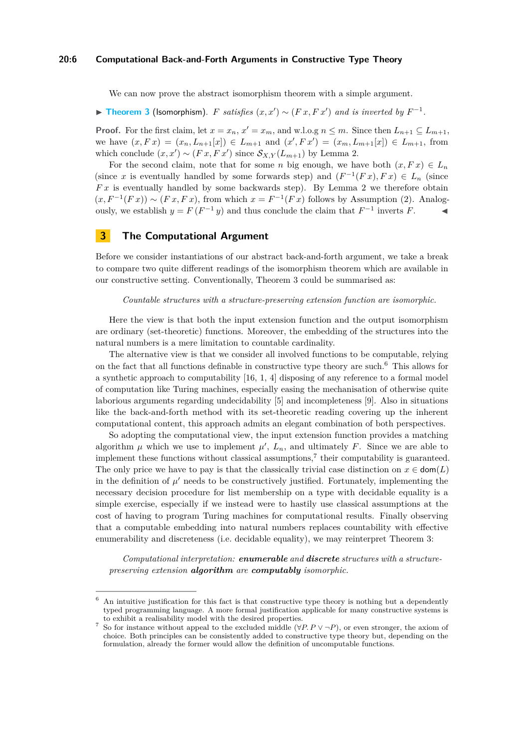### **20:6 Computational Back-and-Forth Arguments in Constructive Type Theory**

We can now prove the abstract isomorphism theorem with a simple argument.

<span id="page-5-1"></span>▶ **[Theorem 3](https://www.ps.uni-saarland.de/extras/back-and-forth/website/baf.backandforth.html#back_and_forth)** (Isomorphism). *F satisfies*  $(x, x') \sim (F x, F x')$  *and is inverted by*  $F^{-1}$ *.* 

**Proof.** For the first claim, let  $x = x_n$ ,  $x' = x_m$ , and w.l.o.g  $n \leq m$ . Since then  $L_{n+1} \subseteq L_{m+1}$ , we have  $(x, F x) = (x_n, L_{n+1}[x]) \in L_{m+1}$  and  $(x', F x') = (x_m, L_{m+1}[x]) \in L_{m+1}$ , from which conclude  $(x, x') \sim (Fx, Fx')$  since  $S_{X,Y}(L_{m+1})$  by Lemma [2.](#page-4-2)

For the second claim, note that for some *n* big enough, we have both  $(x, F x) \in L_n$ (since *x* is eventually handled by some forwards step) and  $(F^{-1}(Fx), Fx) \in L_n$  (since *F x* is eventually handled by some backwards step). By Lemma [2](#page-4-2) we therefore obtain  $(x, F^{-1}(Fx)) \sim (Fx, Fx)$ , from which  $x = F^{-1}(Fx)$  follows by Assumption [\(2\)](#page-2-4). Analogously, we establish  $y = F(F^{-1}y)$  and thus conclude the claim that  $F^{-1}$  inverts  $F$ .

## <span id="page-5-0"></span>**3 The Computational Argument**

Before we consider instantiations of our abstract back-and-forth argument, we take a break to compare two quite different readings of the isomorphism theorem which are available in our constructive setting. Conventionally, Theorem [3](#page-5-1) could be summarised as:

*Countable structures with a structure-preserving extension function are isomorphic.*

Here the view is that both the input extension function and the output isomorphism are ordinary (set-theoretic) functions. Moreover, the embedding of the structures into the natural numbers is a mere limitation to countable cardinality.

The alternative view is that we consider all involved functions to be computable, relying on the fact that all functions definable in constructive type theory are such.[6](#page-5-2) This allows for a synthetic approach to computability [\[16,](#page-11-6) [1,](#page-10-2) [4\]](#page-11-7) disposing of any reference to a formal model of computation like Turing machines, especially easing the mechanisation of otherwise quite laborious arguments regarding undecidability [\[5\]](#page-11-8) and incompleteness [\[9\]](#page-11-9). Also in situations like the back-and-forth method with its set-theoretic reading covering up the inherent computational content, this approach admits an elegant combination of both perspectives.

So adopting the computational view, the input extension function provides a matching algorithm  $\mu$  which we use to implement  $\mu'$ ,  $L_n$ , and ultimately F. Since we are able to implement these functions without classical assumptions,<sup>[7](#page-5-3)</sup> their computability is guaranteed. The only price we have to pay is that the classically trivial case distinction on  $x \in \text{dom}(L)$ in the definition of  $\mu'$  needs to be constructively justified. Fortunately, implementing the necessary decision procedure for list membership on a type with decidable equality is a simple exercise, especially if we instead were to hastily use classical assumptions at the cost of having to program Turing machines for computational results. Finally observing that a computable embedding into natural numbers replaces countability with effective enumerability and discreteness (i.e. decidable equality), we may reinterpret Theorem [3:](#page-5-1)

*Computational interpretation: enumerable and discrete structures with a structurepreserving extension algorithm are computably isomorphic.*

<span id="page-5-2"></span> $6$  An intuitive justification for this fact is that constructive type theory is nothing but a dependently typed programming language. A more formal justification applicable for many constructive systems is to exhibit a realisability model with the desired properties.

<span id="page-5-3"></span>So for instance without appeal to the excluded middle  $(\forall P.P \lor \neg P)$ , or even stronger, the axiom of choice. Both principles can be consistently added to constructive type theory but, depending on the formulation, already the former would allow the definition of uncomputable functions.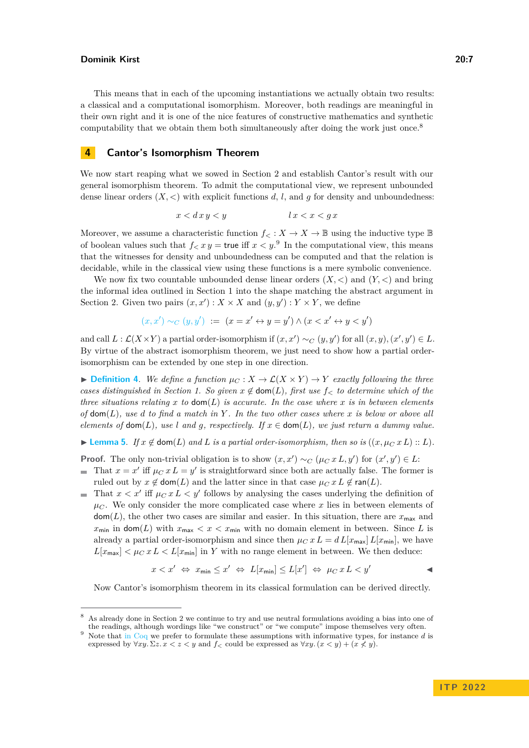This means that in each of the upcoming instantiations we actually obtain two results: a classical and a computational isomorphism. Moreover, both readings are meaningful in their own right and it is one of the nice features of constructive mathematics and synthetic computability that we obtain them both simultaneously after doing the work just once.[8](#page-6-1)

# <span id="page-6-0"></span>**4 Cantor's Isomorphism Theorem**

We now start reaping what we sowed in Section [2](#page-2-5) and establish Cantor's result with our general isomorphism theorem. To admit the computational view, we represent unbounded dense linear orders  $(X, \leq)$  with explicit functions d, l, and g for density and unboundedness:

$$
x < d\,x\,y < y \qquad \qquad l\,x < x < g\,x
$$

Moreover, we assume a characteristic function  $f<sub>lt</sub>: X \to X \to \mathbb{B}$  using the inductive type  $\mathbb{B}$ of boolean values such that  $f < x y$  = true iff  $x < y$ .<sup>[9](#page-6-2)</sup> In the computational view, this means that the witnesses for density and unboundedness can be computed and that the relation is decidable, while in the classical view using these functions is a mere symbolic convenience.

We now fix two countable unbounded dense linear orders  $(X, \leq)$  and  $(Y, \leq)$  and bring the informal idea outlined in Section [1](#page-0-1) into the shape matching the abstract argument in Section [2.](#page-2-5) Given two pairs  $(x, x') : X \times X$  and  $(y, y') : Y \times Y$ , we define

$$
(x, x') \sim_C (y, y') := (x = x' \leftrightarrow y = y') \land (x < x' \leftrightarrow y < y')
$$

and call  $L: \mathcal{L}(X \times Y)$  a partial order-isomorphism if  $(x, x') \sim_C (y, y')$  for all  $(x, y), (x', y') \in L$ . By virtue of the abstract isomorphism theorem, we just need to show how a partial orderisomorphism can be extended by one step in one direction.

▶ **[Definition 4](https://www.ps.uni-saarland.de/extras/back-and-forth/website/baf.backandforth.html#partner).** *We define a function*  $\mu_C$  :  $X \to \mathcal{L}(X \times Y) \to Y$  *exactly following the three cases distinguished in Section [1.](#page-0-1) So given*  $x \notin \text{dom}(L)$ *, first use*  $f<sub>lt</sub>$  *to determine which of the three situations relating*  $x$  *to*  $dom(L)$  *is accurate. In the case where*  $x$  *is in between elements of*  $dom(L)$ *, use d to find a match in*  $Y$ *. In the two other cases where*  $x$  *is below or above all elements of*  $\text{dom}(L)$ *, use l* and *g, respectively. If*  $x \in \text{dom}(L)$ *, we just return a dummy value.* 

<span id="page-6-3"></span>▶ **[Lemma 5](https://www.ps.uni-saarland.de/extras/back-and-forth/website/baf.backandforth.html#step_morph)**. *If*  $x \notin \text{dom}(L)$  *and*  $L$  *is a partial order-isomorphism, then so is*  $((x, \mu_C x L) :: L)$ *.* 

**Proof.** The only non-trivial obligation is to show  $(x, x') \sim_C (\mu_C x L, y')$  for  $(x', y') \in L$ :

- That  $x = x'$  iff  $\mu_C x L = y'$  is straightforward since both are actually false. The former is ruled out by  $x \notin \text{dom}(L)$  and the latter since in that case  $\mu_C x L \notin \text{ran}(L)$ .
- That  $x < x'$  iff  $\mu_C x L < y'$  follows by analysing the cases underlying the definition of  $\mu$ <sub>*C*</sub>. We only consider the more complicated case where *x* lies in between elements of  $dom(L)$ , the other two cases are similar and easier. In this situation, there are  $x_{\text{max}}$  and  $x_{\min}$  in dom(*L*) with  $x_{\max} < x < x_{\min}$  with no domain element in between. Since *L* is already a partial order-isomorphism and since then  $\mu_C x L = d L[x_{\text{max}}] L[x_{\text{min}}]$ , we have  $L[x_{\text{max}}] < \mu_C x L < L[x_{\text{min}}]$  in *Y* with no range element in between. We then deduce:

$$
x < x' \Leftrightarrow x_{\min} \le x' \Leftrightarrow L[x_{\min}] \le L[x'] \Leftrightarrow \mu_C \, x \, L < y' \qquad \qquad \blacktriangleleft
$$

Now Cantor's isomorphism theorem in its classical formulation can be derived directly.

<span id="page-6-1"></span><sup>8</sup> As already done in Section [2](#page-2-5) we continue to try and use neutral formulations avoiding a bias into one of the readings, although wordings like "we construct" or "we compute" impose themselves very often.

<span id="page-6-2"></span><sup>9</sup> Note that [in Coq](https://www.ps.uni-saarland.de/extras/back-and-forth/website/baf.backandforth.html#dulo) we prefer to formulate these assumptions with informative types, for instance *d* is expressed by  $\forall xy. \Sigma z. x < z < y$  and  $f<$  could be expressed as  $\forall xy. (x < y) + (x \nless y).$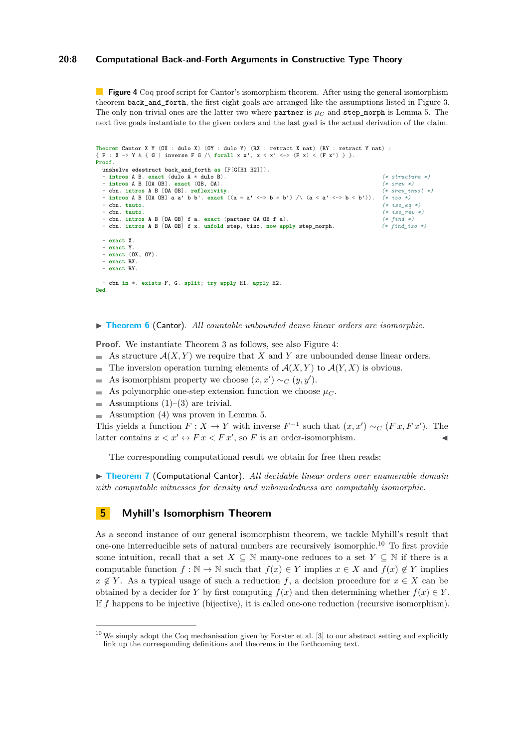## **20:8 Computational Back-and-Forth Arguments in Constructive Type Theory**

<span id="page-7-1"></span>**Figure 4** Coq proof script for Cantor's isomorphism theorem. After using the general isomorphism theorem back\_and\_forth, the first eight goals are arranged like the assumptions listed in Figure [3.](#page-4-0) The only non-trivial ones are the latter two where partner is  $\mu_C$  and step\_morph is Lemma [5.](#page-6-3) The next five goals instantiate to the given orders and the last goal is the actual derivation of the claim.

```
Theorem Cantor X Y (OX : dulo X) (OY : dulo Y) (RX : retract X nat) (RY : retract Y nat) :
{ \{ F : X \rightarrow Y \& \{ G \mid inverse F G \land for all x x', x < x' < \rightarrow (F x) < (F x') \} }Proof.
  unshelve edestruct back_and_forth as [F[G[H1 H2]]].
  - intros A B. exact (dulo A * dulo B). (* structure *)
  - intros A B [OA OB]. exact (OB, OA). (* srev *)<br>- cbn. intros A B [OA OB]. reflexivity. (* srev_invol *)<br>- intros A B [OA OB] a a' b b'. exact ((a = a' <-> b = b') /\ (a < a' <-> b < b')). (* iso *)
  - cbn. tauto.<br>
- cbn. tauto.<br>
- cbn. tauto.<br>
(* iso_eq *)<br>
(* iso_eq *)<br>
(* iso_eq *)
  - cbn. tauto. (* iso_rev *)
- cbn. intros A B [OA OB] f a. exact (partner OA OB f a). (* find *)
  - cbn. intros A B [OA OB] f x. unfold step, tiso. now apply step_morph. (* find_iso *)
  - exact X.
  - exact Y.
  - exact (OX, OY).
  - exact RX.
  - exact RY.
   - cbn in *. exists F, G. split; try apply H1. apply H2.
Qed.
```
#### ▶ **[Theorem 6](https://www.ps.uni-saarland.de/extras/back-and-forth/website/baf.backandforth.html#Cantor)** (Cantor). *All countable unbounded dense linear orders are isomorphic.*

**Proof.** We instantiate Theorem [3](#page-5-1) as follows, see also Figure [4:](#page-7-1)

- As structure A(*X, Y* ) we require that *X* and *Y* are unbounded dense linear orders.  $\blacksquare$
- The inversion operation turning elements of  $\mathcal{A}(X,Y)$  to  $\mathcal{A}(Y,X)$  is obvious.
- As isomorphism property we choose  $(x, x') \sim_C (y, y')$ .  $\overline{a}$
- As polymorphic one-step extension function we choose  $\mu_C$ .  $\equiv$
- Assumptions  $(1)$ – $(3)$  are trivial.  $\blacksquare$
- $\blacksquare$  Assumption [\(4\)](#page-3-3) was proven in Lemma [5.](#page-6-3)

This yields a function  $F: X \to Y$  with inverse  $F^{-1}$  such that  $(x, x') \sim_C (Fx, Fx')$ . The latter contains  $x < x' \leftrightarrow F x < F x'$ , so *F* is an order-isomorphism.

The corresponding computational result we obtain for free then reads:

▶ **[Theorem 7](https://www.ps.uni-saarland.de/extras/back-and-forth/website/baf.backandforth.html#Cantor)** (Computational Cantor). *All decidable linear orders over enumerable domain with computable witnesses for density and unboundedness are computably isomorphic.*

# <span id="page-7-0"></span>**5 Myhill's Isomorphism Theorem**

As a second instance of our general isomorphism theorem, we tackle Myhill's result that one-one interreducible sets of natural numbers are recursively isomorphic.[10](#page-7-2) To first provide some intuition, recall that a set  $X \subseteq \mathbb{N}$  many-one reduces to a set  $Y \subseteq \mathbb{N}$  if there is a computable function  $f : \mathbb{N} \to \mathbb{N}$  such that  $f(x) \in Y$  implies  $x \in X$  and  $f(x) \notin Y$  implies  $x \notin Y$ . As a typical usage of such a reduction *f*, a decision procedure for  $x \in X$  can be obtained by a decider for *Y* by first computing  $f(x)$  and then determining whether  $f(x) \in Y$ . If *f* happens to be injective (bijective), it is called one-one reduction (recursive isomorphism).

<span id="page-7-2"></span> $10$  We simply adopt the Coq mechanisation given by Forster et al. [\[3\]](#page-10-1) to our abstract setting and explicitly link up the corresponding definitions and theorems in the forthcoming text.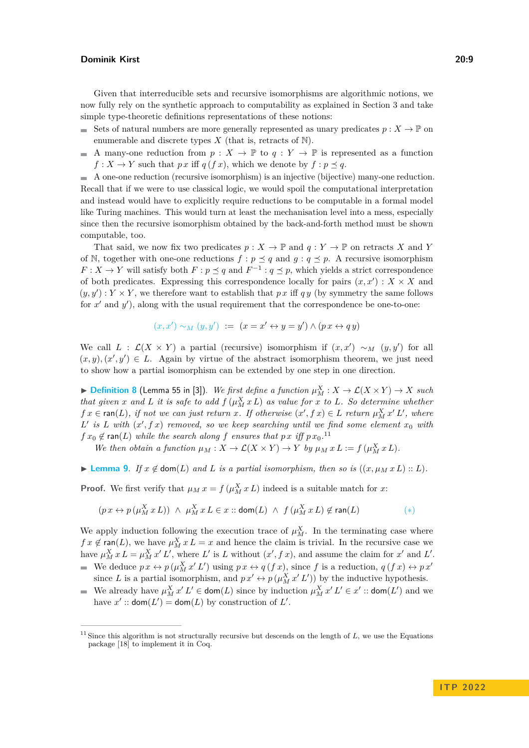Given that interreducible sets and recursive isomorphisms are algorithmic notions, we now fully rely on the synthetic approach to computability as explained in Section [3](#page-5-0) and take simple type-theoretic definitions representations of these notions:

- Sets of natural numbers are more generally represented as unary predicates  $p: X \to \mathbb{P}$  on enumerable and discrete types  $X$  (that is, retracts of  $N$ ).
- A many-one reduction from  $p: X \to \mathbb{P}$  to  $q: Y \to \mathbb{P}$  is represented as a function  $f: X \to Y$  such that *px* iff  $q(fx)$ , which we denote by  $f: p \prec q$ .

A one-one reduction (recursive isomorphism) is an injective (bijective) many-one reduction. Recall that if we were to use classical logic, we would spoil the computational interpretation and instead would have to explicitly require reductions to be computable in a formal model like Turing machines. This would turn at least the mechanisation level into a mess, especially since then the recursive isomorphism obtained by the back-and-forth method must be shown computable, too.

That said, we now fix two predicates  $p: X \to \mathbb{P}$  and  $q: Y \to \mathbb{P}$  on retracts X and Y of N, together with one-one reductions  $f : p \preceq q$  and  $g : q \preceq p$ . A recursive isomorphism *F* : *X* → *Y* will satisfy both *F* : *p*  $\le$  *q* and *F*<sup>-1</sup> : *q*  $\le$  *p*, which yields a strict correspondence of both predicates. Expressing this correspondence locally for pairs  $(x, x') : X \times X$  and  $(y, y') : Y \times Y$ , we therefore want to establish that px iff q y (by symmetry the same follows for  $x'$  and  $y'$ ), along with the usual requirement that the correspondence be one-to-one:

$$
(x, x') \sim_M (y, y') := (x = x' \leftrightarrow y = y') \land (px \leftrightarrow qy)
$$

We call  $L$  :  $\mathcal{L}(X \times Y)$  a partial (recursive) isomorphism if  $(x, x') \sim_M (y, y')$  for all  $(x, y), (x', y') \in L$ . Again by virtue of the abstract isomorphism theorem, we just need to show how a partial isomorphism can be extended by one step in one direction.

▶ **[Definition 8](https://www.ps.uni-saarland.de/extras/back-and-forth/website/baf.backandforth.html#gamma)** (Lemma 55 in [\[3\]](#page-10-1)). *We first define a function*  $\mu_M^X : X \to \mathcal{L}(X \times Y) \to X$  *such that given x* and *L it is safe to add*  $f(\mu_M^X x L)$  *as value for x to L. So determine whether*  $f x \in \text{ran}(L)$ , if not we can just return *x*. If otherwise  $(x', f x) \in L$  return  $\mu_M^X x' L'$ , where  $L'$  *is*  $L$  *with*  $(x', f x)$  *removed, so we keep searching until we find some element*  $x_0$  *with*  $f x_0 \notin \text{ran}(L)$  *while the search along*  $f$  *ensures that*  $p x i f p x_0$ .<sup>[11](#page-8-0)</sup>

*We then obtain a function*  $\mu_M : X \to \mathcal{L}(X \times Y) \to Y$  *by*  $\mu_M x L := f(\mu_M^X x L)$ *.* 

<span id="page-8-1"></span>▶ **[Lemma 9](https://www.ps.uni-saarland.de/extras/back-and-forth/website/baf.backandforth.html#step_corr).** *If*  $x \notin \text{dom}(L)$  *and*  $L$  *is a partial isomorphism, then so is*  $((x, \mu_M x L) :: L)$ *.* 

**Proof.** We first verify that  $\mu_M x = f(\mu_M^X x L)$  indeed is a suitable match for *x*:

$$
(p\,x\leftrightarrow p\,(\mu^X_M\,x\,L))\;\wedge\;\mu^X_M\,x\,L\in x::\mathsf{dom}(L)\;\wedge\;f\,(\mu^X_M\,x\,L)\not\in\mathsf{ran}(L)\qquad \qquad (*)
$$

We apply induction following the execution trace of  $\mu_M^X$ . In the terminating case where  $f x \notin \text{ran}(L)$ , we have  $\mu_M^X x L = x$  and hence the claim is trivial. In the recursive case we have  $\mu_M^X x L = \mu_M^X x' L'$ , where  $L'$  is  $L$  without  $(x', f x)$ , and assume the claim for  $x'$  and  $L'$ . We deduce  $p x \leftrightarrow p (\mu_M^X x' L')$  using  $p x \leftrightarrow q (f x)$ , since f is a reduction,  $q (f x) \leftrightarrow p x'$ 

- since *L* is a partial isomorphism, and  $p x' \leftrightarrow p(\mu_M^X x' L')$  by the inductive hypothesis.
- We already have  $\mu_M^X x' L' \in \text{dom}(L)$  since by induction  $\mu_M^X x' L' \in x'$ :  $\text{dom}(L')$  and we have  $x'$ :  $\mathsf{dom}(L') = \mathsf{dom}(L)$  by construction of  $L'$ .

<span id="page-8-0"></span><sup>&</sup>lt;sup>11</sup> Since this algorithm is not structurally recursive but descends on the length of  $L$ , we use the Equations package [\[18\]](#page-11-10) to implement it in Coq.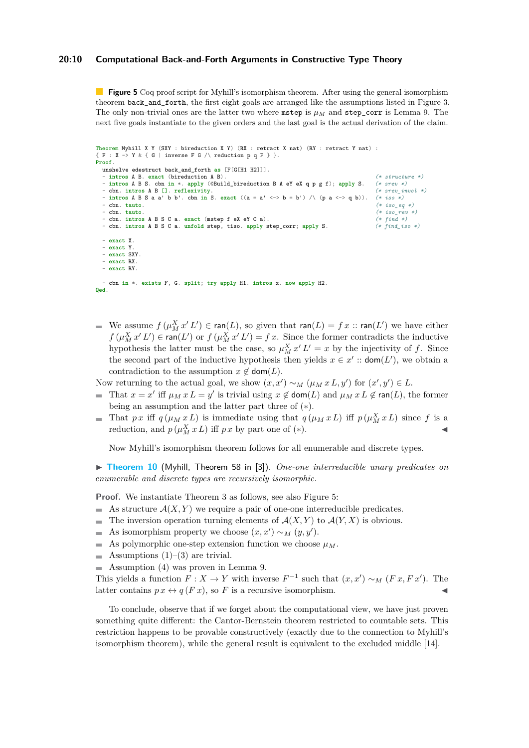### **20:10 Computational Back-and-Forth Arguments in Constructive Type Theory**

<span id="page-9-0"></span>**Figure 5** Coq proof script for Myhill's isomorphism theorem. After using the general isomorphism theorem back\_and\_forth, the first eight goals are arranged like the assumptions listed in Figure [3.](#page-4-0) The only non-trivial ones are the latter two where **mstep** is  $\mu_M$  and **step\_corr** is Lemma [9.](#page-8-1) The next five goals instantiate to the given orders and the last goal is the actual derivation of the claim.

```
Theorem Myhill X Y (SXY : bireduction X Y) (RX : retract X nat) (RY : retract Y nat) :
{F : X \rightarrow Y \& {G \perp} \text{inverse } F \subset \wedge \text{ reduction } p \text{ of } F \}.
Proof.
 unshelve edestruct back_and_forth as [F[G[H1 H2]]].
  - intros A B. exact (bireduction A B). (* structure *)
  - intros A B S. cbn in *. apply (@Build_bireduction B A eY eX q p g f); apply S. (* srev *)
- cbn. intros A B []. reflexivity. (* srev_invol *)
  - intros A B S a a' b b'. cbn in S. exact ((a = a' <-> b = b') /\ (p a <-> q b)). (* iso *)
  - cbn. tauto. (* iso_eq *)
- cbn. tauto. (* iso_rev *)
  - cbn. intros A B S C a. exact (mstep f eX eY C a).<br>
- cbn. intros A B S C a. unfold step, tiso. apply step_corr; apply S. (* find_iso *)
  - cbn. intros A B S C a. unfold step, tiso. apply step_corr; apply S.
  - exact X.
  - exact Y.
  - exact SXY.
  - exact RX.
  - exact RY.
   - cbn in *. exists F, G. split; try apply H1. intros x. now apply H2.
Qed.
```
We assume  $f(\mu_M^X x' L') \in \text{ran}(L)$ , so given that  $\text{ran}(L) = f(x)$ :  $\text{ran}(L')$  we have either  $f(\mu_M^X x' L') \in \text{ran}(L')$  or  $f(\mu_M^X x' L') = f x$ . Since the former contradicts the inductive hypothesis the latter must be the case, so  $\mu_M^X x' L' = x$  by the injectivity of *f*. Since the second part of the inductive hypothesis then yields  $x \in x'$  :  $\text{dom}(L')$ , we obtain a contradiction to the assumption  $x \notin \text{dom}(L)$ .

Now returning to the actual goal, we show  $(x, x') \sim_M (\mu_M x L, y')$  for  $(x', y') \in L$ .

- That  $x = x'$  iff  $\mu_M x L = y'$  is trivial using  $x \notin \text{dom}(L)$  and  $\mu_M x L \notin \text{ran}(L)$ , the former  $\blacksquare$ being an assumption and the latter part three of (∗).
- That *px* iff  $q(\mu_M x L)$  is immediate using that  $q(\mu_M x L)$  iff  $p(\mu_M^X x L)$  since f is a reduction, and  $p(\mu_M^X x L)$  iff  $p x$  by part one of (\*).

Now Myhill's isomorphism theorem follows for all enumerable and discrete types.

<span id="page-9-1"></span>▶ **[Theorem 10](https://www.ps.uni-saarland.de/extras/back-and-forth/website/baf.backandforth.html#Myhill)** (Myhill, Theorem 58 in [\[3\]](#page-10-1)). *One-one interreducible unary predicates on enumerable and discrete types are recursively isomorphic.*

**Proof.** We instantiate Theorem [3](#page-5-1) as follows, see also Figure [5:](#page-9-0)

- As structure  $\mathcal{A}(X, Y)$  we require a pair of one-one interreducible predicates. ÷.
- $\blacksquare$ The inversion operation turning elements of  $\mathcal{A}(X, Y)$  to  $\mathcal{A}(Y, X)$  is obvious.
- As isomorphism property we choose  $(x, x') \sim_M (y, y')$ .
- As polymorphic one-step extension function we choose  $\mu_M$ .  $\rightarrow$
- Assumptions  $(1)$ – $(3)$  are trivial. m.
- $\blacksquare$  Assumption [\(4\)](#page-3-3) was proven in Lemma [9.](#page-8-1)

This yields a function  $F: X \to Y$  with inverse  $F^{-1}$  such that  $(x, x') \sim_M (Fx, Fx')$ . The latter contains  $p x \leftrightarrow q(F x)$ , so *F* is a recursive isomorphism.

To conclude, observe that if we forget about the computational view, we have just proven something quite different: the Cantor-Bernstein theorem restricted to countable sets. This restriction happens to be provable constructively (exactly due to the connection to Myhill's isomorphism theorem), while the general result is equivalent to the excluded middle [\[14\]](#page-11-11).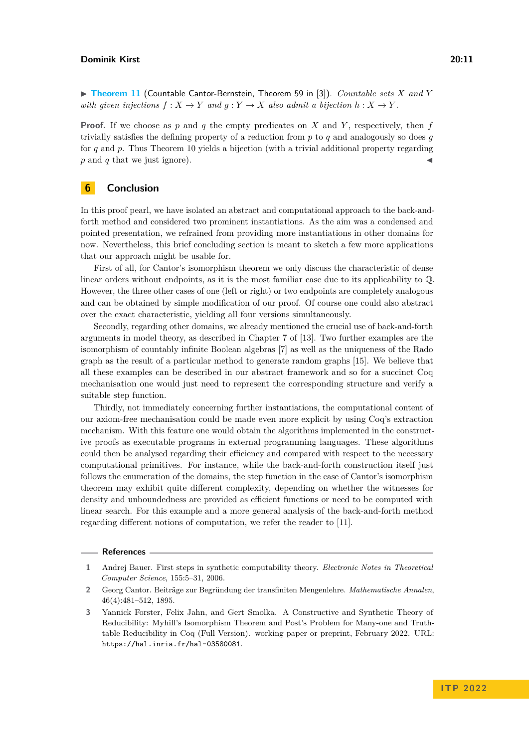▶ **[Theorem 11](https://www.ps.uni-saarland.de/extras/back-and-forth/website/baf.backandforth.html#Cantor_Bernstein)** (Countable Cantor-Bernstein, Theorem 59 in [\[3\]](#page-10-1)). *Countable sets X and Y with given injections*  $f: X \to Y$  *and*  $g: Y \to X$  *also admit a bijection*  $h: X \to Y$ .

**Proof.** If we choose as *p* and *q* the empty predicates on *X* and *Y* , respectively, then *f* trivially satisfies the defining property of a reduction from *p* to *q* and analogously so does *g* for *q* and *p*. Thus Theorem [10](#page-9-1) yields a bijection (with a trivial additional property regarding  $p$  and  $q$  that we just ignore).

# **6 Conclusion**

In this proof pearl, we have isolated an abstract and computational approach to the back-andforth method and considered two prominent instantiations. As the aim was a condensed and pointed presentation, we refrained from providing more instantiations in other domains for now. Nevertheless, this brief concluding section is meant to sketch a few more applications that our approach might be usable for.

First of all, for Cantor's isomorphism theorem we only discuss the characteristic of dense linear orders without endpoints, as it is the most familiar case due to its applicability to Q. However, the three other cases of one (left or right) or two endpoints are completely analogous and can be obtained by simple modification of our proof. Of course one could also abstract over the exact characteristic, yielding all four versions simultaneously.

Secondly, regarding other domains, we already mentioned the crucial use of back-and-forth arguments in model theory, as described in Chapter 7 of [\[13\]](#page-11-1). Two further examples are the isomorphism of countably infinite Boolean algebras [\[7\]](#page-11-12) as well as the uniqueness of the Rado graph as the result of a particular method to generate random graphs [\[15\]](#page-11-13). We believe that all these examples can be described in our abstract framework and so for a succinct Coq mechanisation one would just need to represent the corresponding structure and verify a suitable step function.

Thirdly, not immediately concerning further instantiations, the computational content of our axiom-free mechanisation could be made even more explicit by using Coq's extraction mechanism. With this feature one would obtain the algorithms implemented in the constructive proofs as executable programs in external programming languages. These algorithms could then be analysed regarding their efficiency and compared with respect to the necessary computational primitives. For instance, while the back-and-forth construction itself just follows the enumeration of the domains, the step function in the case of Cantor's isomorphism theorem may exhibit quite different complexity, depending on whether the witnesses for density and unboundedness are provided as efficient functions or need to be computed with linear search. For this example and a more general analysis of the back-and-forth method regarding different notions of computation, we refer the reader to [\[11\]](#page-11-14).

#### **References**

<span id="page-10-2"></span>**<sup>1</sup>** Andrej Bauer. First steps in synthetic computability theory. *Electronic Notes in Theoretical Computer Science*, 155:5–31, 2006.

<span id="page-10-0"></span>**<sup>2</sup>** Georg Cantor. Beiträge zur Begründung der transfiniten Mengenlehre. *Mathematische Annalen*, 46(4):481–512, 1895.

<span id="page-10-1"></span>**<sup>3</sup>** Yannick Forster, Felix Jahn, and Gert Smolka. A Constructive and Synthetic Theory of Reducibility: Myhill's Isomorphism Theorem and Post's Problem for Many-one and Truthtable Reducibility in Coq (Full Version). working paper or preprint, February 2022. URL: <https://hal.inria.fr/hal-03580081>.